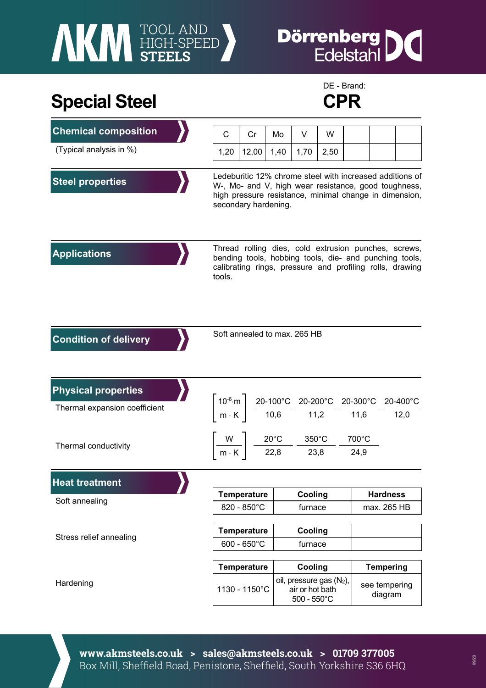## **AKI HIGH-SPEED**

## **Dörrenberg** IC

## **Special Steel CPR**



| <b>Chemical composition</b>   | C                                                                                                                                                                                                  | Cr            | Mo                                                                                     | V                                                                   | W    |       |                          |                  |
|-------------------------------|----------------------------------------------------------------------------------------------------------------------------------------------------------------------------------------------------|---------------|----------------------------------------------------------------------------------------|---------------------------------------------------------------------|------|-------|--------------------------|------------------|
| (Typical analysis in %)       | 1,20                                                                                                                                                                                               | 12,00         | 1,40                                                                                   | 1,70                                                                | 2,50 |       |                          |                  |
|                               |                                                                                                                                                                                                    |               |                                                                                        |                                                                     |      |       |                          |                  |
| <b>Steel properties</b>       | Ledeburitic 12% chrome steel with increased additions of<br>W-, Mo- and V, high wear resistance, good toughness,<br>high pressure resistance, minimal change in dimension,<br>secondary hardening. |               |                                                                                        |                                                                     |      |       |                          |                  |
| <b>Applications</b>           | Thread rolling dies, cold extrusion punches, screws,<br>bending tools, hobbing tools, die- and punching tools,<br>calibrating rings, pressure and profiling rolls, drawing<br>tools.               |               |                                                                                        |                                                                     |      |       |                          |                  |
| <b>Condition of delivery</b>  | Soft annealed to max. 265 HB                                                                                                                                                                       |               |                                                                                        |                                                                     |      |       |                          |                  |
| <b>Physical properties</b>    |                                                                                                                                                                                                    |               |                                                                                        |                                                                     |      |       |                          |                  |
| Thermal expansion coefficient | $\left[\frac{10^{-6} \text{ m}}{\text{m} \cdot \text{K}}\right] \frac{20-100^{\circ} \text{C}}{10,6} \frac{20-200^{\circ} \text{C}}{11,2} \frac{20-300^{\circ} \text{C}}{11,6}$                    |               |                                                                                        |                                                                     |      |       |                          | 20-400°C<br>12,0 |
| Thermal conductivity          |                                                                                                                                                                                                    |               | $\left[\frac{W}{m\cdot K}\right] \frac{20^{\circ}C}{22.8} - \frac{350^{\circ}C}{23.8}$ |                                                                     |      | 700°C |                          |                  |
|                               |                                                                                                                                                                                                    |               |                                                                                        |                                                                     |      |       | 24,9                     |                  |
| <b>Heat treatment</b>         |                                                                                                                                                                                                    |               |                                                                                        |                                                                     |      |       |                          |                  |
|                               | <b>Temperature</b>                                                                                                                                                                                 |               |                                                                                        | Cooling                                                             |      |       | <b>Hardness</b>          |                  |
| Soft annealing                | 820 - 850°C                                                                                                                                                                                        |               |                                                                                        | furnace                                                             |      |       | max. 265 HB              |                  |
| Stress relief annealing       | <b>Temperature</b>                                                                                                                                                                                 |               |                                                                                        | Cooling                                                             |      |       |                          |                  |
|                               | $600 - 650^{\circ}$ C                                                                                                                                                                              |               |                                                                                        | furnace                                                             |      |       |                          |                  |
|                               | <b>Temperature</b>                                                                                                                                                                                 |               |                                                                                        | Cooling                                                             |      |       | <b>Tempering</b>         |                  |
| Hardening                     |                                                                                                                                                                                                    | 1130 - 1150°C |                                                                                        | oil, pressure gas (N2),<br>air or hot bath<br>$500 - 550^{\circ}$ C |      |       | see tempering<br>diagram |                  |

**www.akmsteels.co.uk > sales@akmsteels.co.uk > 01709 377005**  Box Mill, Sheffield Road, Penistone, Sheffield, South Yorkshire S36 6HQ